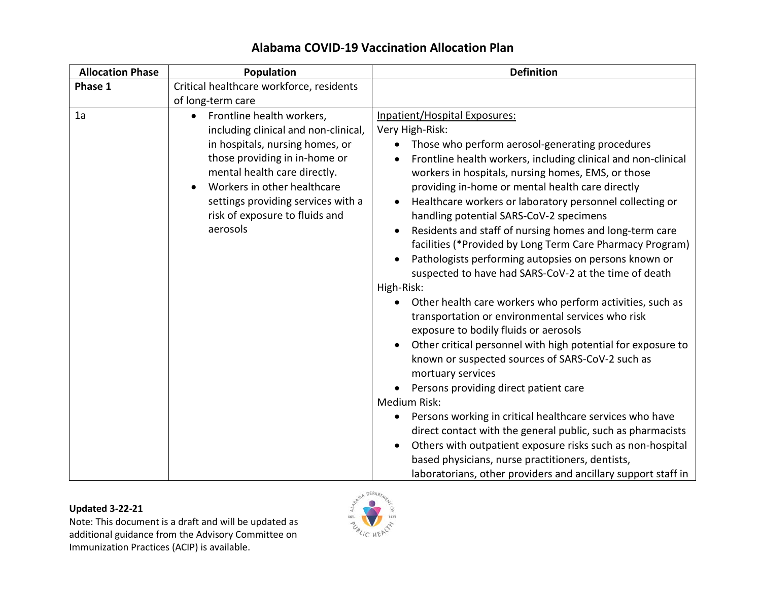| <b>Allocation Phase</b> | Population                                                                                                                                                                                                                                                                                            | <b>Definition</b>                                                                                                                                                                                                                                                                                                                                                                                                                                                                                                                                                                                                                                                                                                                                                                                                                                                                                                                                                                                                                                                                                                                                                                                                                                                                                                                                  |
|-------------------------|-------------------------------------------------------------------------------------------------------------------------------------------------------------------------------------------------------------------------------------------------------------------------------------------------------|----------------------------------------------------------------------------------------------------------------------------------------------------------------------------------------------------------------------------------------------------------------------------------------------------------------------------------------------------------------------------------------------------------------------------------------------------------------------------------------------------------------------------------------------------------------------------------------------------------------------------------------------------------------------------------------------------------------------------------------------------------------------------------------------------------------------------------------------------------------------------------------------------------------------------------------------------------------------------------------------------------------------------------------------------------------------------------------------------------------------------------------------------------------------------------------------------------------------------------------------------------------------------------------------------------------------------------------------------|
| Phase 1                 | Critical healthcare workforce, residents<br>of long-term care                                                                                                                                                                                                                                         |                                                                                                                                                                                                                                                                                                                                                                                                                                                                                                                                                                                                                                                                                                                                                                                                                                                                                                                                                                                                                                                                                                                                                                                                                                                                                                                                                    |
| 1a                      | Frontline health workers,<br>$\bullet$<br>including clinical and non-clinical,<br>in hospitals, nursing homes, or<br>those providing in in-home or<br>mental health care directly.<br>Workers in other healthcare<br>settings providing services with a<br>risk of exposure to fluids and<br>aerosols | Inpatient/Hospital Exposures:<br>Very High-Risk:<br>Those who perform aerosol-generating procedures<br>$\bullet$<br>Frontline health workers, including clinical and non-clinical<br>workers in hospitals, nursing homes, EMS, or those<br>providing in-home or mental health care directly<br>Healthcare workers or laboratory personnel collecting or<br>handling potential SARS-CoV-2 specimens<br>Residents and staff of nursing homes and long-term care<br>facilities (*Provided by Long Term Care Pharmacy Program)<br>Pathologists performing autopsies on persons known or<br>suspected to have had SARS-CoV-2 at the time of death<br>High-Risk:<br>Other health care workers who perform activities, such as<br>transportation or environmental services who risk<br>exposure to bodily fluids or aerosols<br>Other critical personnel with high potential for exposure to<br>known or suspected sources of SARS-CoV-2 such as<br>mortuary services<br>Persons providing direct patient care<br>Medium Risk:<br>Persons working in critical healthcare services who have<br>$\bullet$<br>direct contact with the general public, such as pharmacists<br>Others with outpatient exposure risks such as non-hospital<br>based physicians, nurse practitioners, dentists,<br>laboratorians, other providers and ancillary support staff in |

# **Alabama COVID-19 Vaccination Allocation Plan**

### **Updated 3-22-21**

Note: This document is a draft and will be updated as additional guidance from the Advisory Committee on Immunization Practices (ACIP) is available.

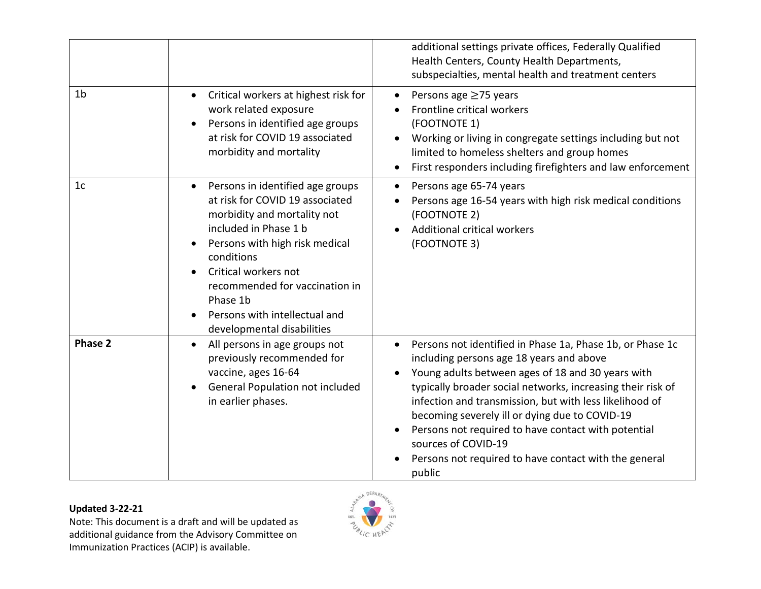|                |                                                                                                                                                                                                                                                                                                                                            | additional settings private offices, Federally Qualified<br>Health Centers, County Health Departments,<br>subspecialties, mental health and treatment centers                                                                                                                                                                                                                                                                                                                                        |
|----------------|--------------------------------------------------------------------------------------------------------------------------------------------------------------------------------------------------------------------------------------------------------------------------------------------------------------------------------------------|------------------------------------------------------------------------------------------------------------------------------------------------------------------------------------------------------------------------------------------------------------------------------------------------------------------------------------------------------------------------------------------------------------------------------------------------------------------------------------------------------|
| 1 <sub>b</sub> | Critical workers at highest risk for<br>$\bullet$<br>work related exposure<br>Persons in identified age groups<br>at risk for COVID 19 associated<br>morbidity and mortality                                                                                                                                                               | Persons age ≥75 years<br>$\bullet$<br>Frontline critical workers<br>(FOOTNOTE 1)<br>Working or living in congregate settings including but not<br>limited to homeless shelters and group homes<br>First responders including firefighters and law enforcement                                                                                                                                                                                                                                        |
| 1 <sub>c</sub> | Persons in identified age groups<br>at risk for COVID 19 associated<br>morbidity and mortality not<br>included in Phase 1 b<br>Persons with high risk medical<br>$\bullet$<br>conditions<br>Critical workers not<br>$\bullet$<br>recommended for vaccination in<br>Phase 1b<br>Persons with intellectual and<br>developmental disabilities | Persons age 65-74 years<br>$\bullet$<br>Persons age 16-54 years with high risk medical conditions<br>(FOOTNOTE 2)<br>Additional critical workers<br>(FOOTNOTE 3)                                                                                                                                                                                                                                                                                                                                     |
| <b>Phase 2</b> | All persons in age groups not<br>$\bullet$<br>previously recommended for<br>vaccine, ages 16-64<br><b>General Population not included</b><br>in earlier phases.                                                                                                                                                                            | Persons not identified in Phase 1a, Phase 1b, or Phase 1c<br>$\bullet$<br>including persons age 18 years and above<br>Young adults between ages of 18 and 30 years with<br>typically broader social networks, increasing their risk of<br>infection and transmission, but with less likelihood of<br>becoming severely ill or dying due to COVID-19<br>Persons not required to have contact with potential<br>sources of COVID-19<br>Persons not required to have contact with the general<br>public |

## **Updated 3-22-21**

Note: This document is a draft and will be updated as additional guidance from the Advisory Committee on Immunization Practices (ACIP) is available.